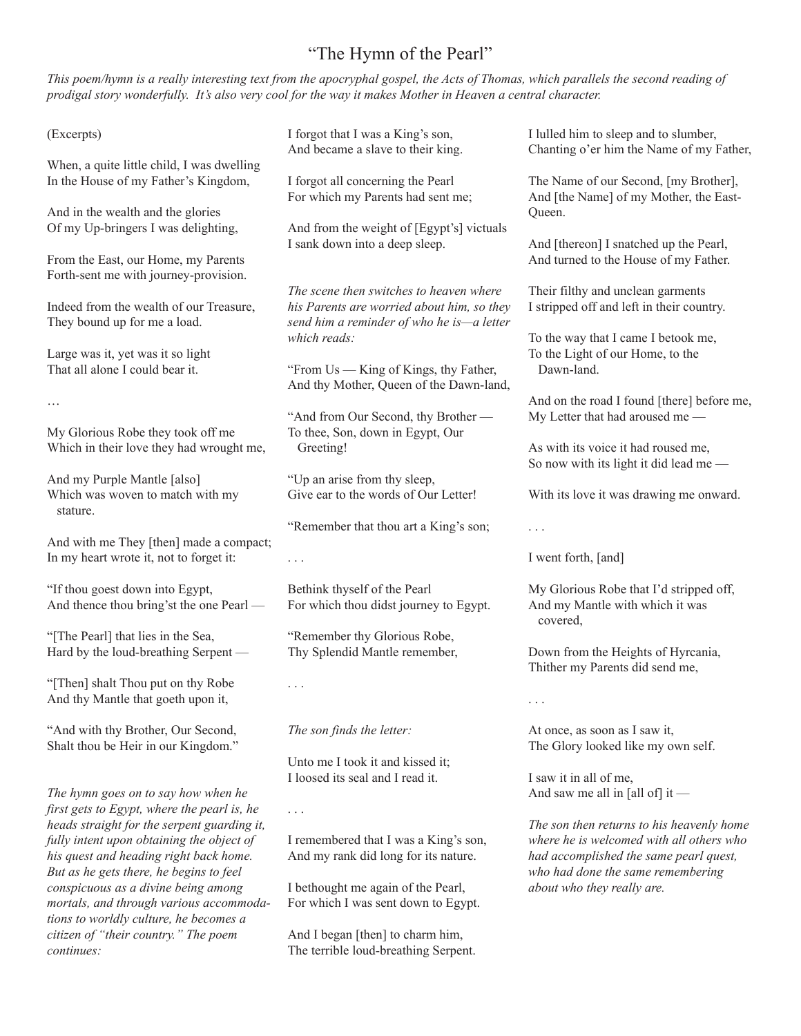## "The Hymn of the Pearl"

This poem/hymn is a really interesting text from the apocryphal gospel, the Acts of Thomas, which parallels the second reading of prodigal story wonderfully. It's also very cool for the way it makes Mother in Heaven a central character.

(Excerpts)

When, a quite little child, I was dwelling In the House of my Father's Kingdom,

And in the wealth and the glories Of my Up-bringers I was delighting,

From the East, our Home, my Parents Forth-sent me with journey-provision.

Indeed from the wealth of our Treasure, They bound up for me a load.

Large was it, yet was it so light That all alone I could bear it.

…

My Glorious Robe they took off me Which in their love they had wrought me,

And my Purple Mantle [also] Which was woven to match with my stature.

And with me They [then] made a compact; In my heart wrote it, not to forget it:

"If thou goest down into Egypt, And thence thou bring'st the one Pearl —

"[The Pearl] that lies in the Sea, Hard by the loud-breathing Serpent —

"[Then] shalt Thou put on thy Robe And thy Mantle that goeth upon it,

"And with thy Brother, Our Second, Shalt thou be Heir in our Kingdom."

*The hymn goes on to say how when he first gets to Egypt, where the pearl is, he heads straight for the serpent guarding it, fully intent upon obtaining the object of his quest and heading right back home. But as he gets there, he begins to feel conspicuous as a divine being among mortals, and through various accommodations to worldly culture, he becomes a citizen of "their country." The poem continues:*

I forgot that I was a King's son, And became a slave to their king.

I forgot all concerning the Pearl For which my Parents had sent me;

And from the weight of [Egypt's] victuals I sank down into a deep sleep.

*The scene then switches to heaven where his Parents are worried about him, so they send him a reminder of who he is—a letter which reads:*

"From Us — King of Kings, thy Father, And thy Mother, Queen of the Dawn-land,

"And from Our Second, thy Brother — To thee, Son, down in Egypt, Our Greeting!

"Up an arise from thy sleep, Give ear to the words of Our Letter!

"Remember that thou art a King's son;

. . .

Bethink thyself of the Pearl For which thou didst journey to Egypt.

"Remember thy Glorious Robe, Thy Splendid Mantle remember,

. . .

. . .

*The son finds the letter:*

Unto me I took it and kissed it; I loosed its seal and I read it.

I remembered that I was a King's son, And my rank did long for its nature.

I bethought me again of the Pearl, For which I was sent down to Egypt.

And I began [then] to charm him, The terrible loud-breathing Serpent. I lulled him to sleep and to slumber, Chanting o'er him the Name of my Father,

The Name of our Second, [my Brother], And [the Name] of my Mother, the East-Queen.

And [thereon] I snatched up the Pearl, And turned to the House of my Father.

Their filthy and unclean garments I stripped off and left in their country.

To the way that I came I betook me, To the Light of our Home, to the Dawn-land.

And on the road I found [there] before me, My Letter that had aroused me —

As with its voice it had roused me, So now with its light it did lead me —

With its love it was drawing me onward.

. . .

I went forth, [and]

My Glorious Robe that I'd stripped off, And my Mantle with which it was covered,

Down from the Heights of Hyrcania, Thither my Parents did send me,

. . .

At once, as soon as I saw it, The Glory looked like my own self.

I saw it in all of me, And saw me all in [all of] it —

*The son then returns to his heavenly home where he is welcomed with all others who had accomplished the same pearl quest, who had done the same remembering about who they really are.*